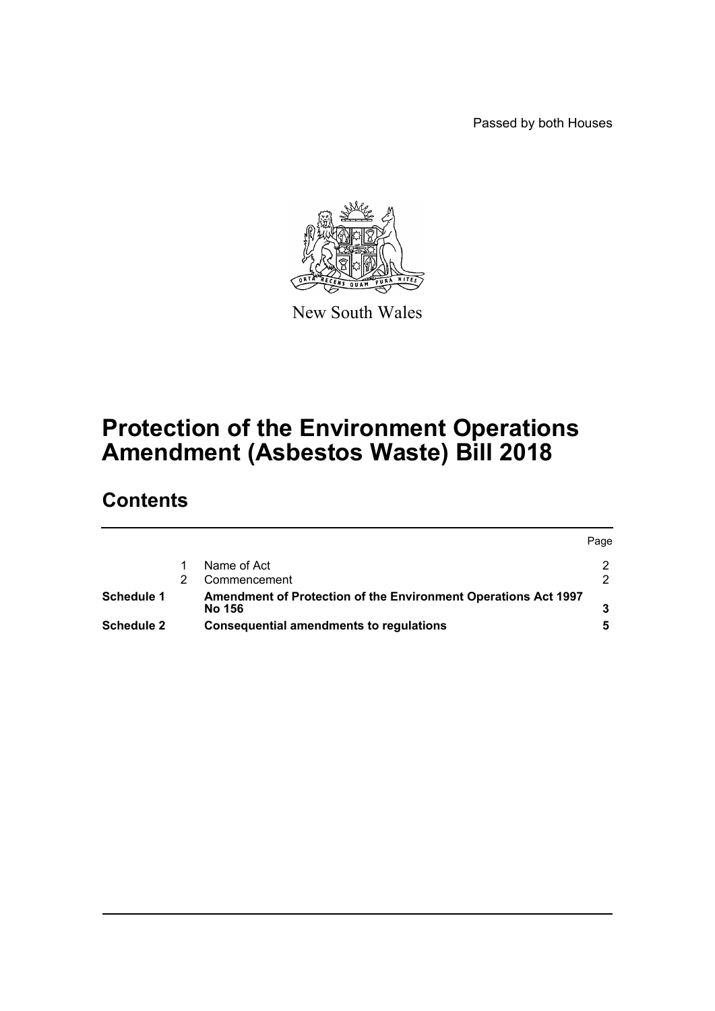Passed by both Houses



New South Wales

# **Protection of the Environment Operations Amendment (Asbestos Waste) Bill 2018**

# **Contents**

|            |                                                                | Page |  |
|------------|----------------------------------------------------------------|------|--|
|            | Name of Act                                                    |      |  |
|            | Commencement                                                   |      |  |
| Schedule 1 | Amendment of Protection of the Environment Operations Act 1997 |      |  |
|            | No 156                                                         |      |  |
| Schedule 2 | Consequential amendments to regulations                        |      |  |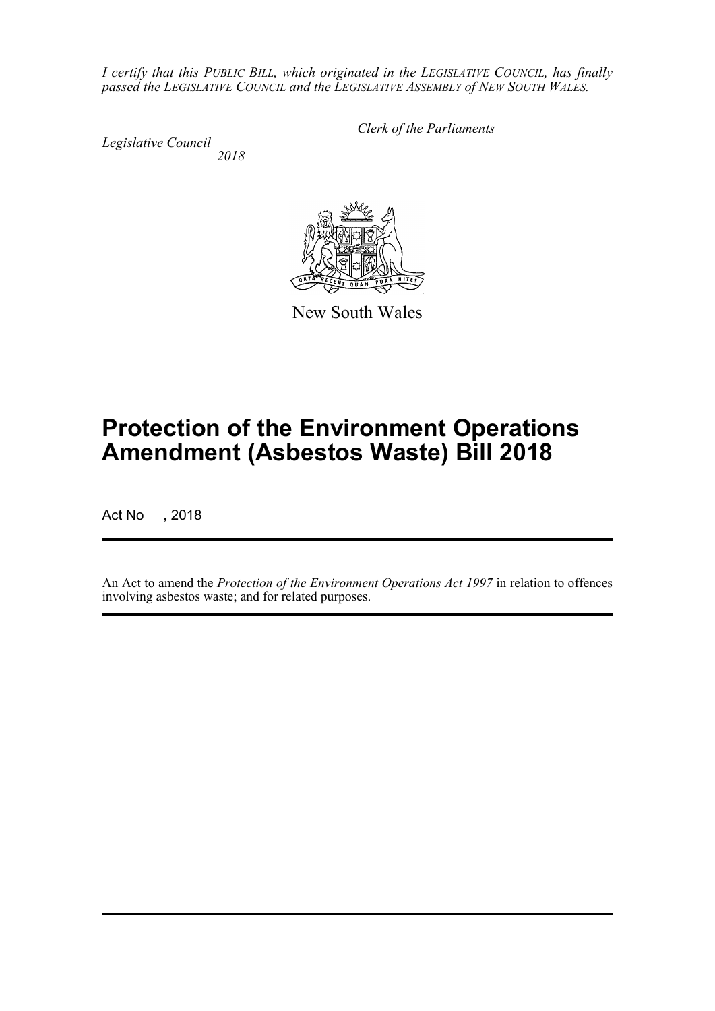*I certify that this PUBLIC BILL, which originated in the LEGISLATIVE COUNCIL, has finally passed the LEGISLATIVE COUNCIL and the LEGISLATIVE ASSEMBLY of NEW SOUTH WALES.*

*Legislative Council 2018* *Clerk of the Parliaments*



New South Wales

# **Protection of the Environment Operations Amendment (Asbestos Waste) Bill 2018**

Act No , 2018

An Act to amend the *Protection of the Environment Operations Act 1997* in relation to offences involving asbestos waste; and for related purposes.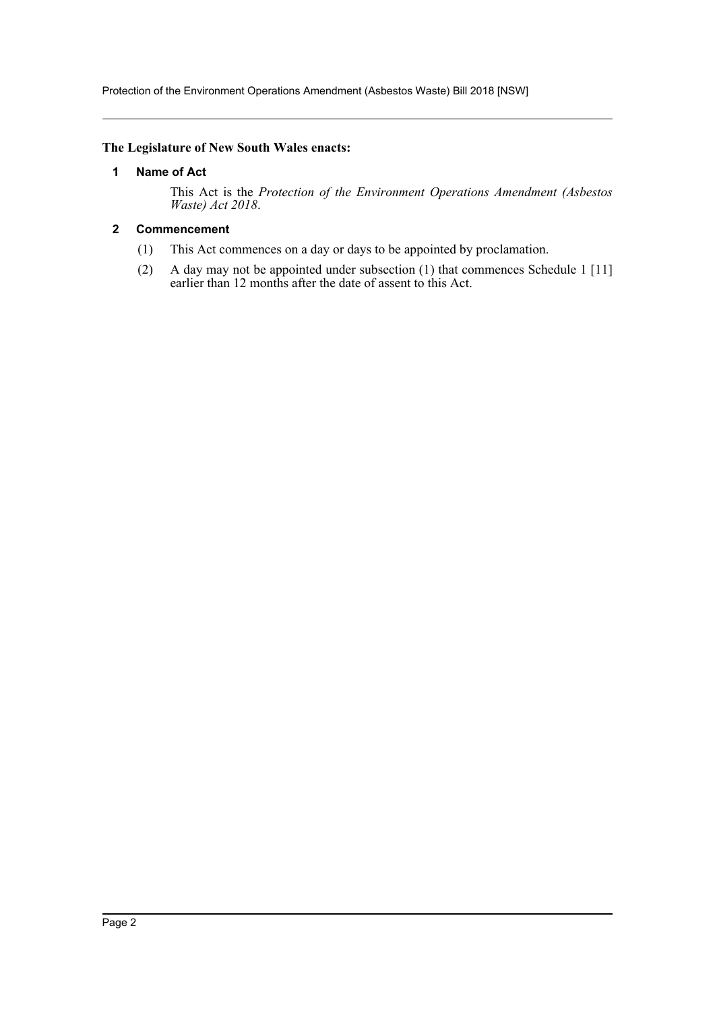Protection of the Environment Operations Amendment (Asbestos Waste) Bill 2018 [NSW]

#### <span id="page-2-0"></span>**The Legislature of New South Wales enacts:**

#### **1 Name of Act**

This Act is the *Protection of the Environment Operations Amendment (Asbestos Waste) Act 2018*.

# <span id="page-2-1"></span>**2 Commencement**

- (1) This Act commences on a day or days to be appointed by proclamation.
- (2) A day may not be appointed under subsection (1) that commences Schedule 1 [11] earlier than 12 months after the date of assent to this Act.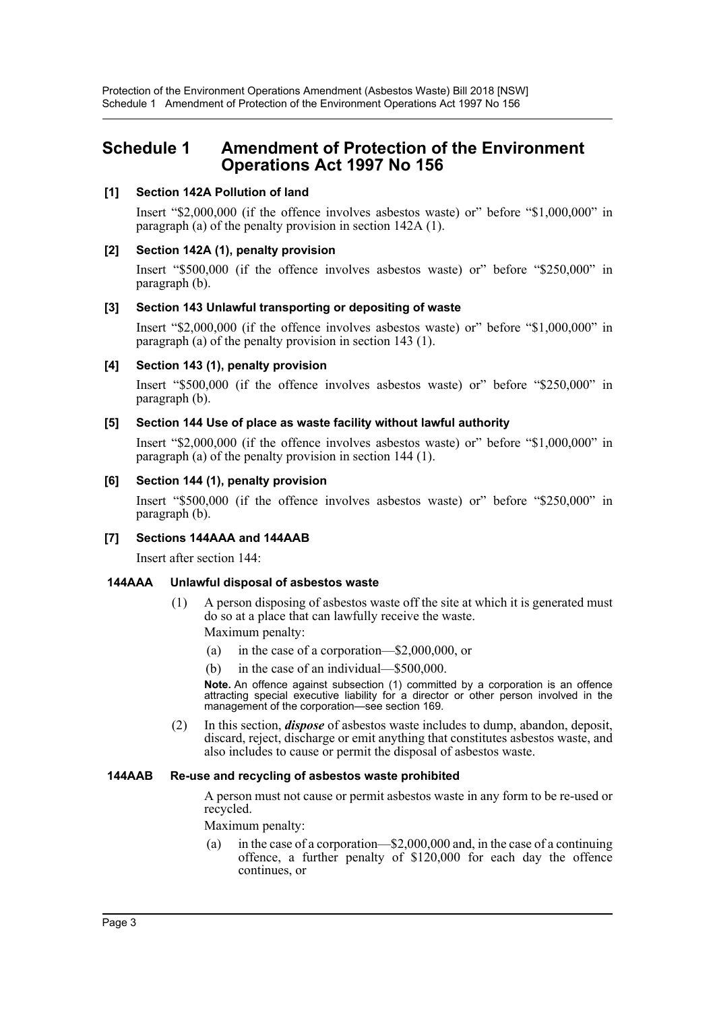# <span id="page-3-0"></span>**Schedule 1 Amendment of Protection of the Environment Operations Act 1997 No 156**

#### **[1] Section 142A Pollution of land**

Insert "\$2,000,000 (if the offence involves asbestos waste) or" before "\$1,000,000" in paragraph (a) of the penalty provision in section 142A (1).

#### **[2] Section 142A (1), penalty provision**

Insert "\$500,000 (if the offence involves asbestos waste) or" before "\$250,000" in paragraph (b).

#### **[3] Section 143 Unlawful transporting or depositing of waste**

Insert "\$2,000,000 (if the offence involves asbestos waste) or" before "\$1,000,000" in paragraph (a) of the penalty provision in section 143 (1).

#### **[4] Section 143 (1), penalty provision**

Insert "\$500,000 (if the offence involves asbestos waste) or" before "\$250,000" in paragraph (b).

#### **[5] Section 144 Use of place as waste facility without lawful authority**

Insert "\$2,000,000 (if the offence involves asbestos waste) or" before "\$1,000,000" in paragraph (a) of the penalty provision in section 144 (1).

#### **[6] Section 144 (1), penalty provision**

Insert "\$500,000 (if the offence involves asbestos waste) or" before "\$250,000" in paragraph (b).

# **[7] Sections 144AAA and 144AAB**

Insert after section 144:

#### **144AAA Unlawful disposal of asbestos waste**

(1) A person disposing of asbestos waste off the site at which it is generated must do so at a place that can lawfully receive the waste.

Maximum penalty:

- (a) in the case of a corporation—\$2,000,000, or
- (b) in the case of an individual—\$500,000.

**Note.** An offence against subsection (1) committed by a corporation is an offence attracting special executive liability for a director or other person involved in the management of the corporation—see section 169.

(2) In this section, *dispose* of asbestos waste includes to dump, abandon, deposit, discard, reject, discharge or emit anything that constitutes asbestos waste, and also includes to cause or permit the disposal of asbestos waste.

#### **144AAB Re-use and recycling of asbestos waste prohibited**

A person must not cause or permit asbestos waste in any form to be re-used or recycled.

Maximum penalty:

(a) in the case of a corporation—\$2,000,000 and, in the case of a continuing offence, a further penalty of \$120,000 for each day the offence continues, or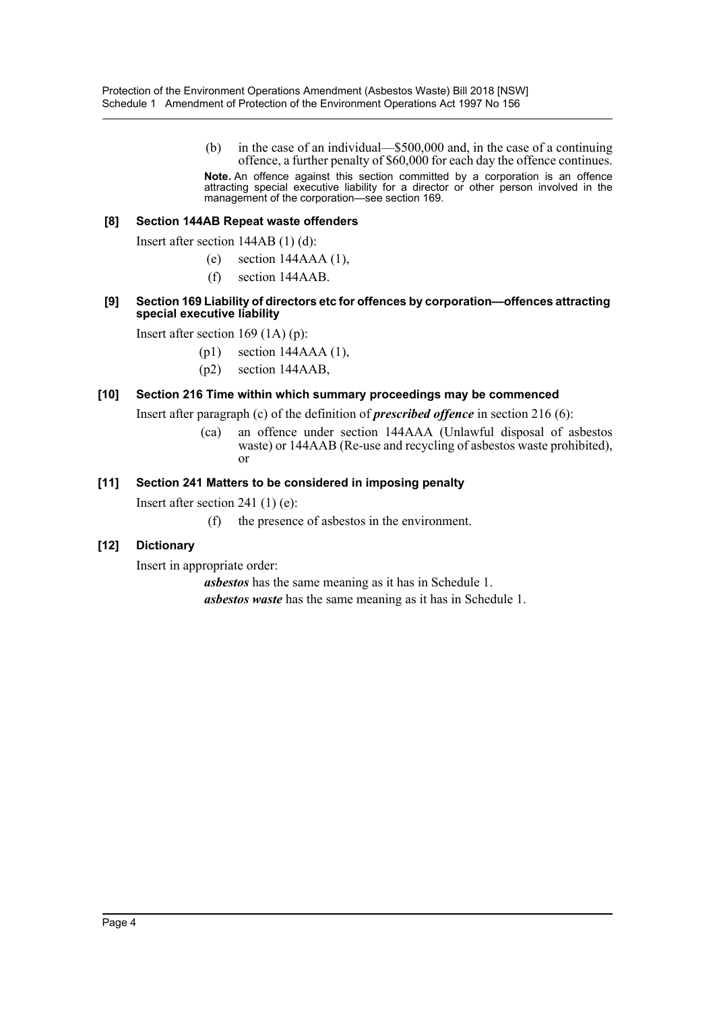(b) in the case of an individual—\$500,000 and, in the case of a continuing offence, a further penalty of \$60,000 for each day the offence continues. **Note.** An offence against this section committed by a corporation is an offence attracting special executive liability for a director or other person involved in the management of the corporation—see section 169.

#### **[8] Section 144AB Repeat waste offenders**

Insert after section 144AB (1) (d):

- (e) section 144AAA (1),
- (f) section 144AAB.

#### **[9] Section 169 Liability of directors etc for offences by corporation—offences attracting special executive liability**

Insert after section 169 (1A) (p):

- (p1) section 144AAA (1),
- (p2) section 144AAB,

#### **[10] Section 216 Time within which summary proceedings may be commenced**

Insert after paragraph (c) of the definition of *prescribed offence* in section 216 (6):

(ca) an offence under section 144AAA (Unlawful disposal of asbestos waste) or 144AAB (Re-use and recycling of asbestos waste prohibited), or

#### **[11] Section 241 Matters to be considered in imposing penalty**

Insert after section 241 (1) (e):

(f) the presence of asbestos in the environment.

# **[12] Dictionary**

Insert in appropriate order:

*asbestos* has the same meaning as it has in Schedule 1.

*asbestos waste* has the same meaning as it has in Schedule 1.